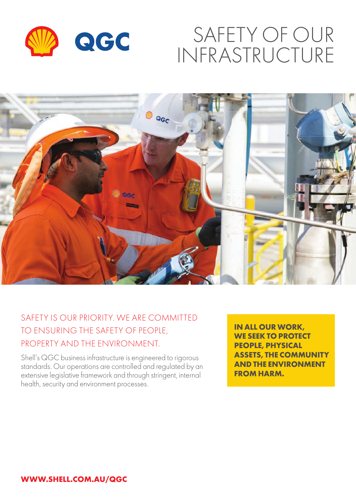

# SAFETY OF OUR INFRASTRUCTURE



## SAFETY IS OUR PRIORITY. WE ARE COMMITTED TO ENSURING THE SAFETY OF PEOPLE, PROPERTY AND THE ENVIRONMENT.

Shell's QGC business infrastructure is engineered to rigorous standards. Our operations are controlled and regulated by an extensive legislative framework and through stringent, internal health, security and environment processes.

**IN ALL OUR WORK, WE SEEK TO PROTECT PEOPLE, PHYSICAL ASSETS, THE COMMUNITY AND THE ENVIRONMENT FROM HARM.**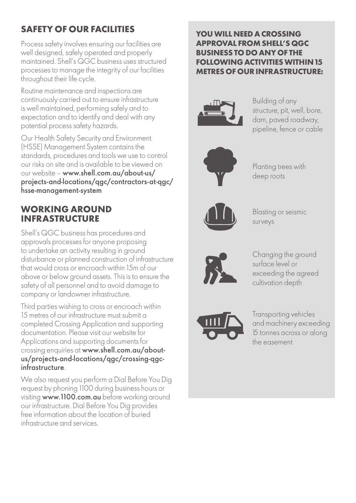# **SAFETY OF OUR FACILITIES**

Process safety involves ensuring our facilities are well designed, safely operated and properly maintained. Shell's QGC business uses structured processes to manage the integrity of our facilities throughout their life cycle.

Routine maintenance and inspections are continuously carried out to ensure infrastructure is well maintained, performing safely and to expectation and to identify and deal with any potential process safety hazards.

Our Health Safety Security and Environment (HSSE) Management System contains the standards, procedures and tools we use to control our risks on site and is available to be viewed on our website – www.shell.com.au/about-us/ projects-and-locations/qgc/contractors-at-qgc/ hsse-management-system

#### **WORKING AROUND INFRASTRUCTURE**

Shell's QGC business has procedures and approvals processes for anyone proposing to undertake an activity resulting in ground disturbance or planned construction of infrastructure that would cross or encroach within 15m of our above or below ground assets. This is to ensure the safety of all personnel and to avoid damage to company or landowner infrastructure.

Third parties wishing to cross or encroach within 15 metres of our infrastructure must submit a completed Crossing Application and supporting documentation. Please visit our website for Applications and supporting documents for crossing enquiries at www.shell.com.au/aboutus/projects-and-locations/qgc/crossing-qgcinfrastructure.

We also request you perform a Dial Before You Dig request by phoning 1100 during business hours or visiting www.1100.com.au before working around our infrastructure. Dial Before You Dig provides free information about the location of buried infrastructure and services.

#### **YOU WILL NEED A CROSSING APPROVAL FROM SHELL'S QGC BUSINESS TO DO ANY OF THE FOLLOWING ACTIVITIES WITHIN 15 METRES OF OUR INFRASTRUCTURE:**



Building of any structure, pit, well, bore, dam, paved roadway, pipeline, fence or cable



Planting trees with deep roots



Blasting or seismic surveys



Changing the ground surface level or exceeding the agreed cultivation depth



Transporting vehicles and machinery exceeding 15 tonnes across or along the easement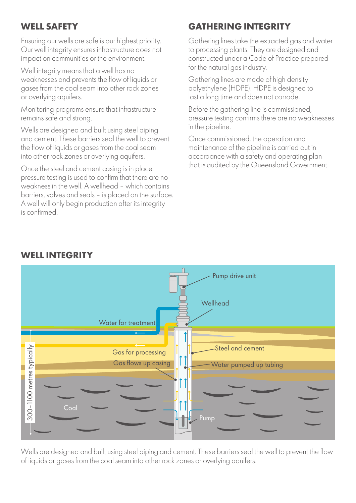## **WELL SAFETY**

Ensuring our wells are safe is our highest priority. Our well integrity ensures infrastructure does not impact on communities or the environment.

Well integrity means that a well has no weaknesses and prevents the flow of liquids or gases from the coal seam into other rock zones or overlying aquifers.

Monitoring programs ensure that infrastructure remains safe and strong.

Wells are designed and built using steel piping and cement. These barriers seal the well to prevent the flow of liquids or gases from the coal seam into other rock zones or overlying aquifers.

Once the steel and cement casing is in place, pressure testing is used to confirm that there are no weakness in the well. A wellhead – which contains barriers, valves and seals – is placed on the surface. A well will only begin production after its integrity is confirmed.

## **GATHERING INTEGRITY**

Gathering lines take the extracted gas and water to processing plants. They are designed and constructed under a Code of Practice prepared for the natural gas industry.

Gathering lines are made of high density polyethylene (HDPE). HDPE is designed to last a long time and does not corrode.

Before the gathering line is commissioned, pressure testing confirms there are no weaknesses in the pipeline.

Once commissioned, the operation and maintenance of the pipeline is carried out in accordance with a safety and operating plan that is audited by the Queensland Government.



**WELL INTEGRITY Well diagram**

Wells are designed and built using steel piping and cement. These barriers seal the well to prevent the flow of liquids or gases from the coal seam into other rock zones or overlying aquifers.